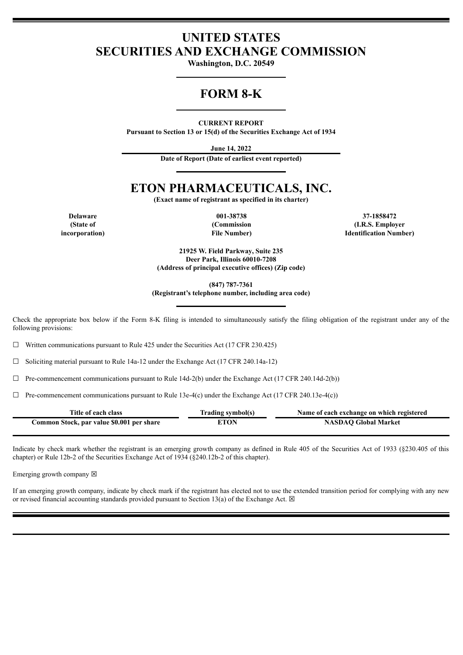### **UNITED STATES SECURITIES AND EXCHANGE COMMISSION**

**Washington, D.C. 20549**

## **FORM 8-K**

**CURRENT REPORT**

**Pursuant to Section 13 or 15(d) of the Securities Exchange Act of 1934**

**June 14, 2022**

**Date of Report (Date of earliest event reported)**

# **ETON PHARMACEUTICALS, INC.**

**(Exact name of registrant as specified in its charter)**

**(State of incorporation)**

**(Commission File Number)**

**Delaware 001-38738 37-1858472 (I.R.S. Employer Identification Number)**

> **21925 W. Field Parkway, Suite 235 Deer Park, Illinois 60010-7208 (Address of principal executive offices) (Zip code)**

> > **(847) 787-7361**

**(Registrant's telephone number, including area code)**

Check the appropriate box below if the Form 8-K filing is intended to simultaneously satisfy the filing obligation of the registrant under any of the following provisions:

 $\Box$  Written communications pursuant to Rule 425 under the Securities Act (17 CFR 230.425)

☐ Soliciting material pursuant to Rule 14a-12 under the Exchange Act (17 CFR 240.14a-12)

 $\Box$  Pre-commencement communications pursuant to Rule 14d-2(b) under the Exchange Act (17 CFR 240.14d-2(b))

 $\Box$  Pre-commencement communications pursuant to Rule 13e-4(c) under the Exchange Act (17 CFR 240.13e-4(c))

| Title of each class                       | Trading symbol(s) | Name of each exchange on which registered |
|-------------------------------------------|-------------------|-------------------------------------------|
| Common Stock, par value \$0.001 per share | ETON              | <b>NASDAO Global Market</b>               |

Indicate by check mark whether the registrant is an emerging growth company as defined in Rule 405 of the Securities Act of 1933 (§230.405 of this chapter) or Rule 12b-2 of the Securities Exchange Act of 1934 (§240.12b-2 of this chapter).

Emerging growth company  $\boxtimes$ 

If an emerging growth company, indicate by check mark if the registrant has elected not to use the extended transition period for complying with any new or revised financial accounting standards provided pursuant to Section 13(a) of the Exchange Act.  $\boxtimes$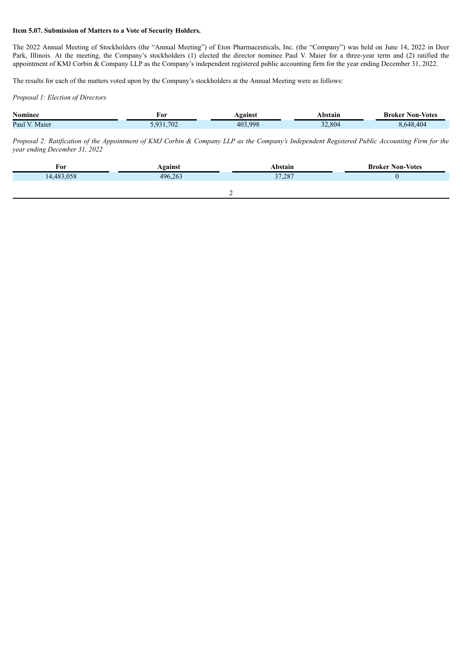#### **Item 5.07. Submission of Matters to a Vote of Security Holders.**

The 2022 Annual Meeting of Stockholders (the "Annual Meeting") of Eton Pharmaceuticals, Inc. (the "Company") was held on June 14, 2022 in Deer Park, Illinois. At the meeting, the Company's stockholders (1) elected the director nominee Paul V. Maier for a three-year term and (2) ratified the appointment of KMJ Corbin & Company LLP as the Company's independent registered public accounting firm for the year ending December 31, 2022.

The results for each of the matters voted upon by the Company's stockholders at the Annual Meeting were as follows:

*Proposal 1: Election of Directors*

| <b>Nominee</b>  | For                   | Vgainst | Abstain | <b>Broker</b><br><b>Non-Votes</b> |
|-----------------|-----------------------|---------|---------|-----------------------------------|
| Paul<br>. Maier | .702<br>$\sim$<br>. . | 403.998 | 2.804   | 648.404                           |

Proposal 2: Ratification of the Appointment of KMJ Corbin & Company LLP as the Company's Independent Registered Public Accounting Firm for the *year ending December 31, 2022*

| For        | Against | Abstain | <b>Broker Non-Votes</b> |
|------------|---------|---------|-------------------------|
| 14,483,058 | 496,263 | 37,287  |                         |
|            |         |         |                         |
|            |         |         |                         |